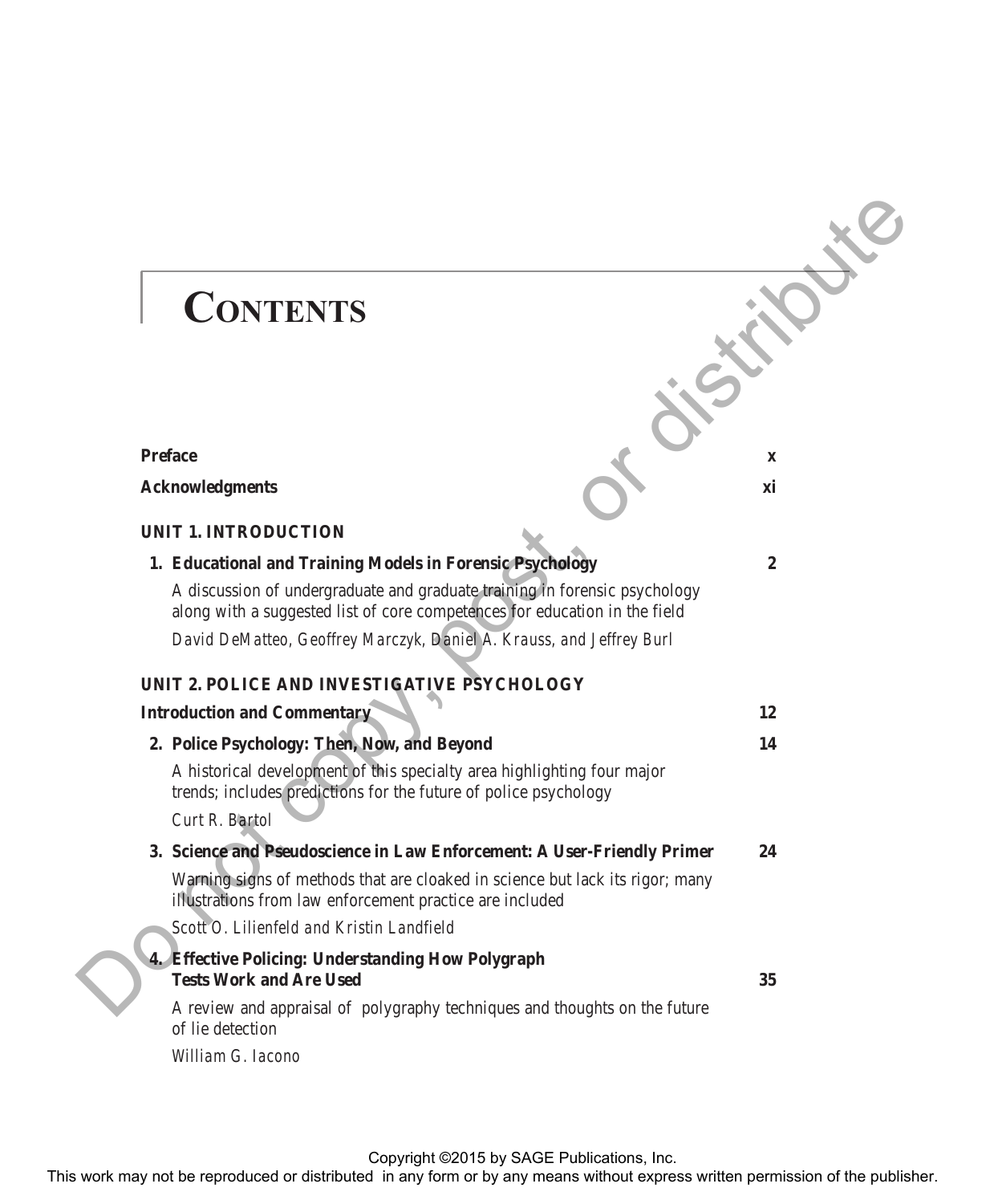## **CONTENTS**

## **Preface** x x **Acknowledgments** xi **UNIT 1. INTRODUCTION 1. Educational and Training Models in Forensic Psychology 2** A discussion of undergraduate and graduate training in forensic psychology along with a suggested list of core competences for education in the field *David DeMatteo, Geoffrey Marczyk, Daniel A. Krauss, and Jeffrey Burl* **UNIT 2. POLICE AND INVESTIGATIVE PSYCHOLOGY Introduction and Commentary 12 2. Police Psychology: Then, Now, and Beyond 14** A historical development of this specialty area highlighting four major trends; includes predictions for the future of police psychology *Curt R. Bartol* **3. Science and Pseudoscience in Law Enforcement: A User-Friendly Primer 24** Warning signs of methods that are cloaked in science but lack its rigor; many illustrations from law enforcement practice are included *Scott O. Lilienfeld and Kristin Landfield* **4. Effective Policing: Understanding How Polygraph Tests Work and Are Used 35** A review and appraisal of polygraphy techniques and thoughts on the future of lie detection *William G. Iacono* **CONTENTS**<br>
The reproduced or distributed in Forenesign and Training Models in Forenesign and the publishers of the reproduced in any form or by any means without expression of the publisher. Do not company the publishers

Copyright ©2015 by SAGE Publications, Inc.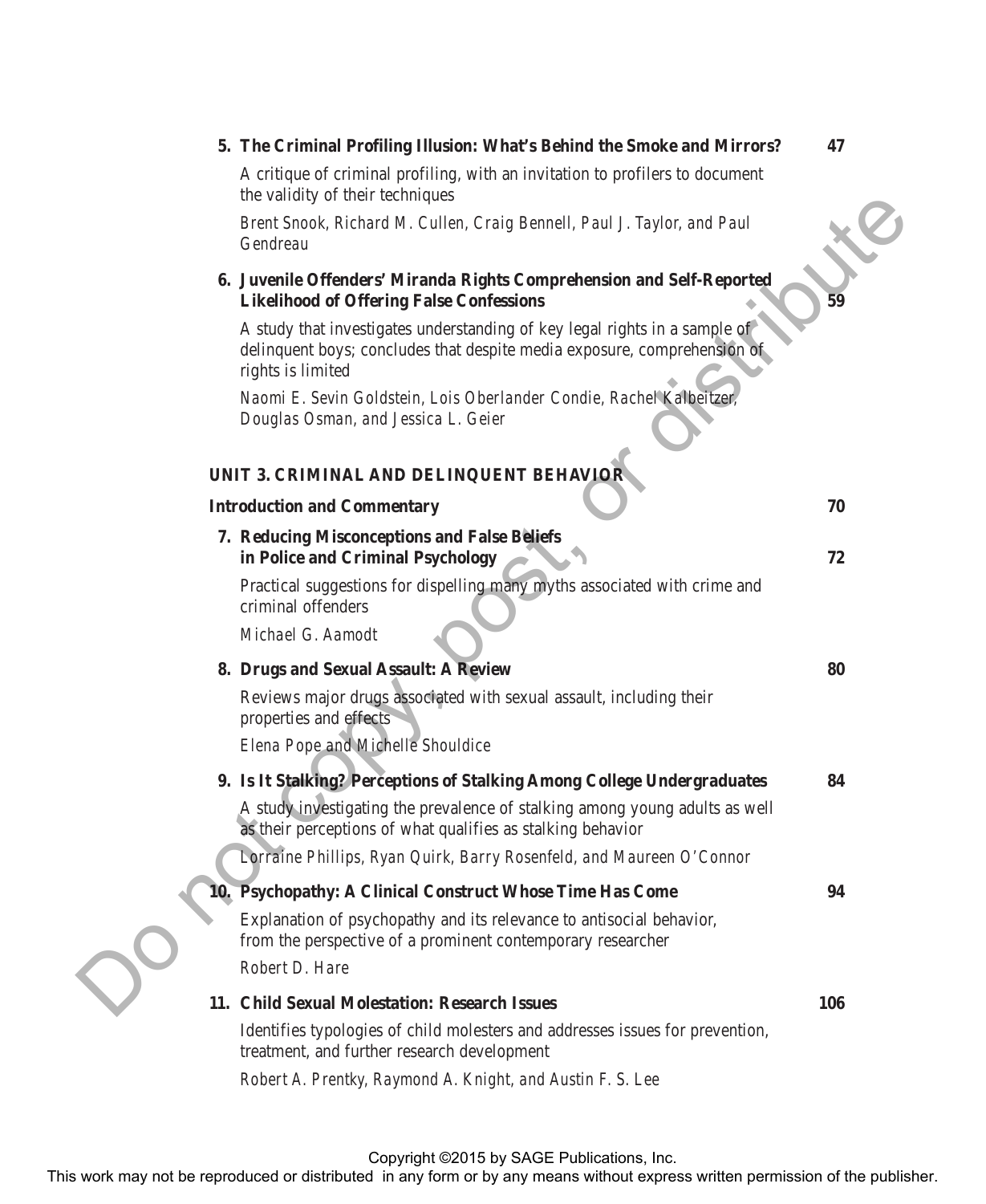| 5. The Criminal Profiling Illusion: What's Behind the Smoke and Mirrors?                                                                                                      | 47  |
|-------------------------------------------------------------------------------------------------------------------------------------------------------------------------------|-----|
| A critique of criminal profiling, with an invitation to profilers to document<br>the validity of their techniques                                                             |     |
| Brent Snook, Richard M. Cullen, Craig Bennell, Paul J. Taylor, and Paul<br>Gendreau                                                                                           |     |
| 6. Juvenile Offenders' Miranda Rights Comprehension and Self-Reported<br><b>Likelihood of Offering False Confessions</b>                                                      | 59  |
| A study that investigates understanding of key legal rights in a sample of<br>delinquent boys; concludes that despite media exposure, comprehension of<br>rights is limited   |     |
| Naomi E. Sevin Goldstein, Lois Oberlander Condie, Rachel Kalbeitzer,<br>Douglas Osman, and Jessica L. Geier                                                                   |     |
| UNIT 3. CRIMINAL AND DELINQUENT BEHAVIOR                                                                                                                                      |     |
| <b>Introduction and Commentary</b>                                                                                                                                            | 70  |
| 7. Reducing Misconceptions and False Beliefs                                                                                                                                  |     |
| in Police and Criminal Psychology                                                                                                                                             | 72  |
| Practical suggestions for dispelling many myths associated with crime and<br>criminal offenders                                                                               |     |
| Michael G. Aamodt                                                                                                                                                             |     |
| 8. Drugs and Sexual Assault: A Review                                                                                                                                         | 80  |
| Reviews major drugs associated with sexual assault, including their<br>properties and effects<br>Elena Pope and Michelle Shouldice                                            |     |
| 9. Is It Stalking? Perceptions of Stalking Among College Undergraduates                                                                                                       | 84  |
| A study investigating the prevalence of stalking among young adults as well<br>as their perceptions of what qualifies as stalking behavior                                    |     |
| Lorraine Phillips, Ryan Quirk, Barry Rosenfeld, and Maureen O'Connor                                                                                                          |     |
| 10. Psychopathy: A Clinical Construct Whose Time Has Come                                                                                                                     | 94  |
| Explanation of psychopathy and its relevance to antisocial behavior,<br>from the perspective of a prominent contemporary researcher                                           |     |
| Robert D. Hare                                                                                                                                                                |     |
| 11. Child Sexual Molestation: Research Issues                                                                                                                                 | 106 |
| Identifies typologies of child molesters and addresses issues for prevention,<br>treatment, and further research development                                                  |     |
| Robert A. Prentky, Raymond A. Knight, and Austin F. S. Lee                                                                                                                    |     |
|                                                                                                                                                                               |     |
|                                                                                                                                                                               |     |
| Copyright ©2015 by SAGE Publications, Inc.<br>This work may not be reproduced or distributed in any form or by any means without express written permission of the publisher. |     |

Copyright ©2015 by SAGE Publications, Inc.<br>This work may not be reproduced or distributed in any form or by any means without express written permission of the publisher.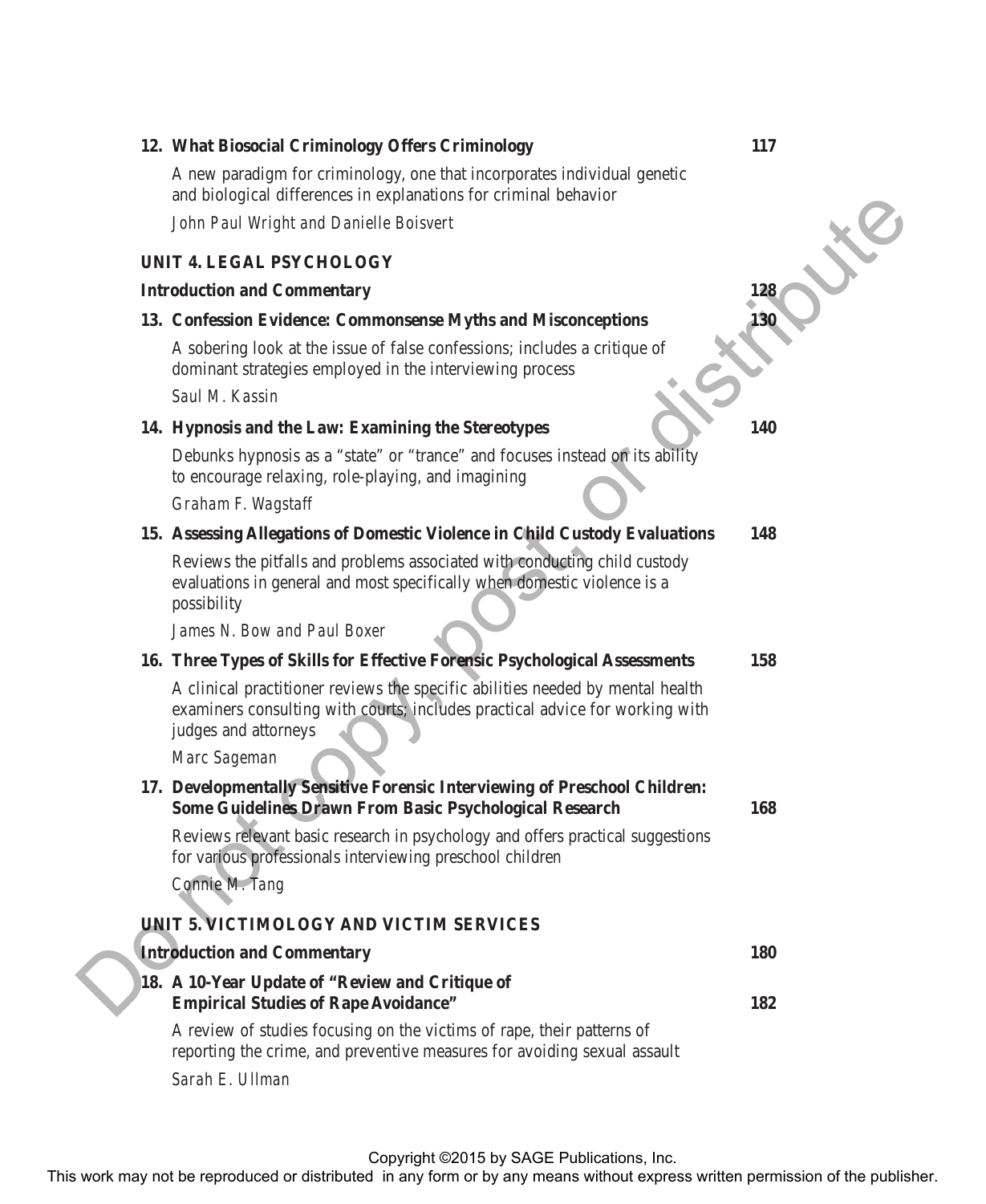## **12. What Biosocial Criminology Offers Criminology 117** A new paradigm for criminology, one that incorporates individual genetic and biological differences in explanations for criminal behavior *John Paul Wright and Danielle Boisvert* **UNIT 4. LEGAL PSYCHOLOGY Introduction and Commentary 13. Confession Evidence: Commonsense Myths and Misconceptions 130** A sobering look at the issue of false confessions; includes a critique of dominant strategies employed in the interviewing process *Saul M. Kassin* **14. Hypnosis and the Law: Examining the Stereotypes 140** Debunks hypnosis as a "state" or "trance" and focuses instead on its ability to encourage relaxing, role-playing, and imagining *Graham F. Wagstaff* **15. Assessing Allegations of Domestic Violence in Child Custody Evaluations 148** Reviews the pitfalls and problems associated with conducting child custody evaluations in general and most specifically when domestic violence is a possibility *James N. Bow and Paul Boxer* **16. Three Types of Skills for Effective Forensic Psychological Assessments 158** A clinical practitioner reviews the specific abilities needed by mental health examiners consulting with courts; includes practical advice for working with judges and attorneys *Marc Sageman* **17. Developmentally Sensitive Forensic Interviewing of Preschool Children: Some Guidelines Drawn From Basic Psychological Research 168** Reviews relevant basic research in psychology and offers practical suggestions for various professionals interviewing preschool children *Connie M. Tang* **UNIT 5. VICTIMOLOGY AND VICTIM SERVICES Introduction and Commentary 180 18. A 10-Year Update of "Review and Critique of Empirical Studies of Rape Avoidance" 182** A review of studies focusing on the victims of rape, their patterns of reporting the crime, and preventive measures for avoiding sexual assault *Sarah E. Ullman* The *Road Content may not be reproduced* or distributed in any form or between the representation or distributed in any form or by any means with the publisher.<br>
The contestion Evidence: Commonweave Myths and Microcorptio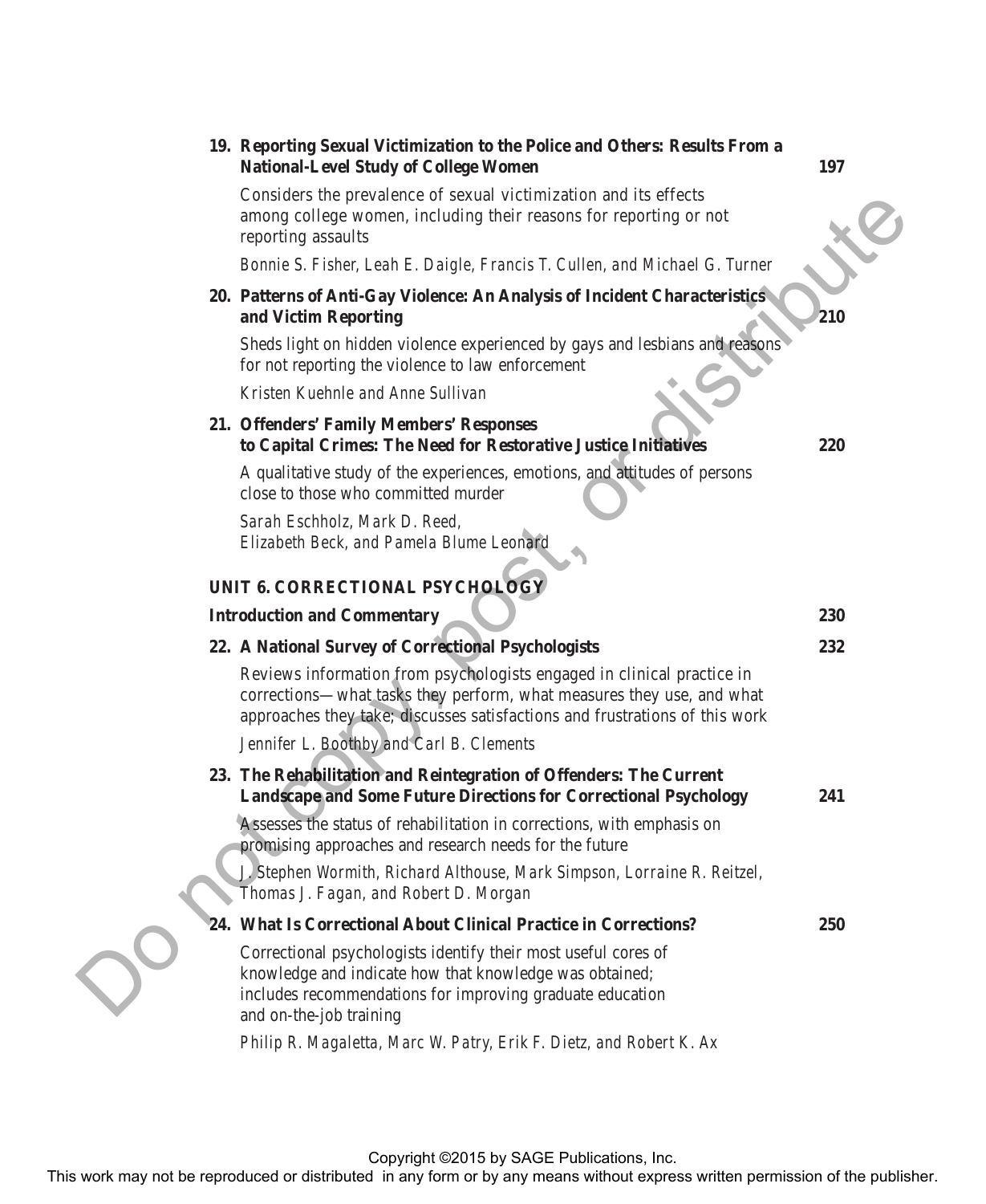|            | 19. Reporting Sexual Victimization to the Police and Others: Results From a<br><b>National-Level Study of College Women</b>                                                                                                    | 197        |
|------------|--------------------------------------------------------------------------------------------------------------------------------------------------------------------------------------------------------------------------------|------------|
|            | Considers the prevalence of sexual victimization and its effects<br>among college women, including their reasons for reporting or not<br>reporting assaults                                                                    |            |
|            | Bonnie S. Fisher, Leah E. Daigle, Francis T. Cullen, and Michael G. Turner                                                                                                                                                     |            |
|            | 20. Patterns of Anti-Gay Violence: An Analysis of Incident Characteristics<br>and Victim Reporting                                                                                                                             | 210        |
|            | Sheds light on hidden violence experienced by gays and lesbians and reasons<br>for not reporting the violence to law enforcement                                                                                               |            |
|            | Kristen Kuehnle and Anne Sullivan                                                                                                                                                                                              |            |
|            | 21. Offenders' Family Members' Responses<br>to Capital Crimes: The Need for Restorative Justice Initiatives                                                                                                                    | 220        |
|            | A qualitative study of the experiences, emotions, and attitudes of persons<br>close to those who committed murder                                                                                                              |            |
|            | Sarah Eschholz, Mark D. Reed,<br>Elizabeth Beck, and Pamela Blume Leonard                                                                                                                                                      |            |
|            | UNIT 6. CORRECTIONAL PSYCHOLOGY                                                                                                                                                                                                |            |
|            | <b>Introduction and Commentary</b>                                                                                                                                                                                             | 230        |
|            | 22. A National Survey of Correctional Psychologists                                                                                                                                                                            | 232        |
|            | Reviews information from psychologists engaged in clinical practice in<br>corrections-what tasks they perform, what measures they use, and what<br>approaches they take; discusses satisfactions and frustrations of this work |            |
|            | Jennifer L. Boothby and Carl B. Clements                                                                                                                                                                                       |            |
|            | 23. The Rehabilitation and Reintegration of Offenders: The Current<br><b>Landscape and Some Future Directions for Correctional Psychology</b>                                                                                  | 241        |
|            | Assesses the status of rehabilitation in corrections, with emphasis on<br>promising approaches and research needs for the future                                                                                               |            |
|            | J. Stephen Wormith, Richard Althouse, Mark Simpson, Lorraine R. Reitzel,<br>Thomas J. Fagan, and Robert D. Morgan                                                                                                              |            |
|            | 24. What Is Correctional About Clinical Practice in Corrections?                                                                                                                                                               | <b>250</b> |
| $\bigcirc$ | Correctional psychologists identify their most useful cores of<br>knowledge and indicate how that knowledge was obtained;<br>includes recommendations for improving graduate education<br>and on-the-job training              |            |
|            | Philip R. Magaletta, Marc W. Patry, Erik F. Dietz, and Robert K. Ax                                                                                                                                                            |            |
|            |                                                                                                                                                                                                                                |            |
|            | Copyright ©2015 by SAGE Publications, Inc.<br>This work may not be reproduced or distributed in any form or by any means without express written permission of the publisher.                                                  |            |